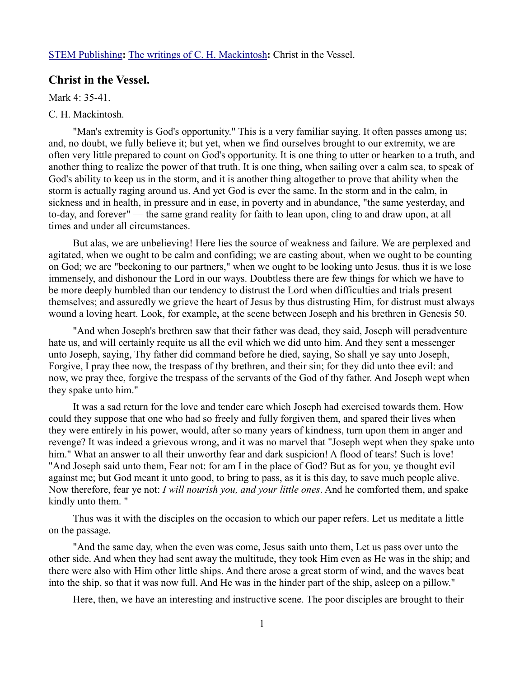## [STEM Publishing](http://www.stempublishing.com/)**:** [The writings of C. H. Mackintosh](http://www.stempublishing.com/authors/mackintosh/index.html)**:** Christ in the Vessel.

## **Christ in the Vessel.**

Mark 4: 35-41

## C. H. Mackintosh.

"Man's extremity is God's opportunity." This is a very familiar saying. It often passes among us; and, no doubt, we fully believe it; but yet, when we find ourselves brought to our extremity, we are often very little prepared to count on God's opportunity. It is one thing to utter or hearken to a truth, and another thing to realize the power of that truth. It is one thing, when sailing over a calm sea, to speak of God's ability to keep us in the storm, and it is another thing altogether to prove that ability when the storm is actually raging around us. And yet God is ever the same. In the storm and in the calm, in sickness and in health, in pressure and in ease, in poverty and in abundance, "the same yesterday, and to-day, and forever" — the same grand reality for faith to lean upon, cling to and draw upon, at all times and under all circumstances.

But alas, we are unbelieving! Here lies the source of weakness and failure. We are perplexed and agitated, when we ought to be calm and confiding; we are casting about, when we ought to be counting on God; we are "beckoning to our partners," when we ought to be looking unto Jesus. thus it is we lose immensely, and dishonour the Lord in our ways. Doubtless there are few things for which we have to be more deeply humbled than our tendency to distrust the Lord when difficulties and trials present themselves; and assuredly we grieve the heart of Jesus by thus distrusting Him, for distrust must always wound a loving heart. Look, for example, at the scene between Joseph and his brethren in Genesis 50.

"And when Joseph's brethren saw that their father was dead, they said, Joseph will peradventure hate us, and will certainly requite us all the evil which we did unto him. And they sent a messenger unto Joseph, saying, Thy father did command before he died, saying, So shall ye say unto Joseph, Forgive, I pray thee now, the trespass of thy brethren, and their sin; for they did unto thee evil: and now, we pray thee, forgive the trespass of the servants of the God of thy father. And Joseph wept when they spake unto him."

It was a sad return for the love and tender care which Joseph had exercised towards them. How could they suppose that one who had so freely and fully forgiven them, and spared their lives when they were entirely in his power, would, after so many years of kindness, turn upon them in anger and revenge? It was indeed a grievous wrong, and it was no marvel that "Joseph wept when they spake unto him." What an answer to all their unworthy fear and dark suspicion! A flood of tears! Such is love! "And Joseph said unto them, Fear not: for am I in the place of God? But as for you, ye thought evil against me; but God meant it unto good, to bring to pass, as it is this day, to save much people alive. Now therefore, fear ye not: *I will nourish you, and your little ones*. And he comforted them, and spake kindly unto them. "

Thus was it with the disciples on the occasion to which our paper refers. Let us meditate a little on the passage.

"And the same day, when the even was come, Jesus saith unto them, Let us pass over unto the other side. And when they had sent away the multitude, they took Him even as He was in the ship; and there were also with Him other little ships. And there arose a great storm of wind, and the waves beat into the ship, so that it was now full. And He was in the hinder part of the ship, asleep on a pillow."

Here, then, we have an interesting and instructive scene. The poor disciples are brought to their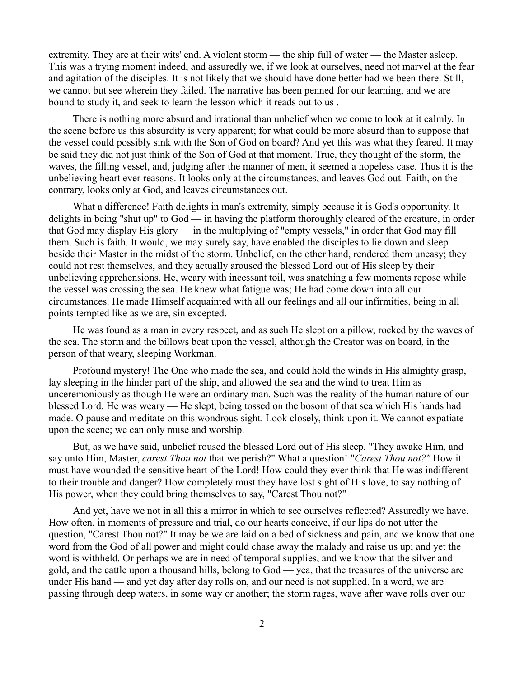extremity. They are at their wits' end. A violent storm — the ship full of water — the Master asleep. This was a trying moment indeed, and assuredly we, if we look at ourselves, need not marvel at the fear and agitation of the disciples. It is not likely that we should have done better had we been there. Still, we cannot but see wherein they failed. The narrative has been penned for our learning, and we are bound to study it, and seek to learn the lesson which it reads out to us .

There is nothing more absurd and irrational than unbelief when we come to look at it calmly. In the scene before us this absurdity is very apparent; for what could be more absurd than to suppose that the vessel could possibly sink with the Son of God on board? And yet this was what they feared. It may be said they did not just think of the Son of God at that moment. True, they thought of the storm, the waves, the filling vessel, and, judging after the manner of men, it seemed a hopeless case. Thus it is the unbelieving heart ever reasons. It looks only at the circumstances, and leaves God out. Faith, on the contrary, looks only at God, and leaves circumstances out.

What a difference! Faith delights in man's extremity, simply because it is God's opportunity. It delights in being "shut up" to God — in having the platform thoroughly cleared of the creature, in order that God may display His glory — in the multiplying of "empty vessels," in order that God may fill them. Such is faith. It would, we may surely say, have enabled the disciples to lie down and sleep beside their Master in the midst of the storm. Unbelief, on the other hand, rendered them uneasy; they could not rest themselves, and they actually aroused the blessed Lord out of His sleep by their unbelieving apprehensions. He, weary with incessant toil, was snatching a few moments repose while the vessel was crossing the sea. He knew what fatigue was; He had come down into all our circumstances. He made Himself acquainted with all our feelings and all our infirmities, being in all points tempted like as we are, sin excepted.

He was found as a man in every respect, and as such He slept on a pillow, rocked by the waves of the sea. The storm and the billows beat upon the vessel, although the Creator was on board, in the person of that weary, sleeping Workman.

Profound mystery! The One who made the sea, and could hold the winds in His almighty grasp, lay sleeping in the hinder part of the ship, and allowed the sea and the wind to treat Him as unceremoniously as though He were an ordinary man. Such was the reality of the human nature of our blessed Lord. He was weary — He slept, being tossed on the bosom of that sea which His hands had made. O pause and meditate on this wondrous sight. Look closely, think upon it. We cannot expatiate upon the scene; we can only muse and worship.

But, as we have said, unbelief roused the blessed Lord out of His sleep. "They awake Him, and say unto Him, Master, *carest Thou not* that we perish?" What a question! "*Carest Thou not?"* How it must have wounded the sensitive heart of the Lord! How could they ever think that He was indifferent to their trouble and danger? How completely must they have lost sight of His love, to say nothing of His power, when they could bring themselves to say, "Carest Thou not?"

And yet, have we not in all this a mirror in which to see ourselves reflected? Assuredly we have. How often, in moments of pressure and trial, do our hearts conceive, if our lips do not utter the question, "Carest Thou not?" It may be we are laid on a bed of sickness and pain, and we know that one word from the God of all power and might could chase away the malady and raise us up; and yet the word is withheld. Or perhaps we are in need of temporal supplies, and we know that the silver and gold, and the cattle upon a thousand hills, belong to God — yea, that the treasures of the universe are under His hand — and yet day after day rolls on, and our need is not supplied. In a word, we are passing through deep waters, in some way or another; the storm rages, wave after wave rolls over our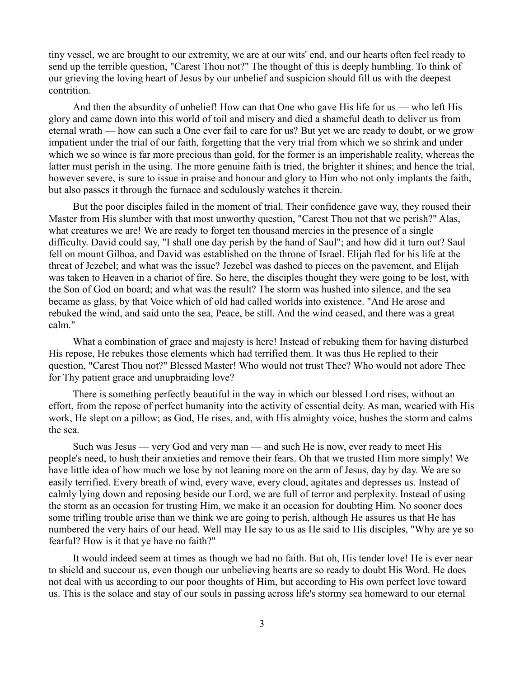tiny vessel, we are brought to our extremity, we are at our wits' end, and our hearts often feel ready to send up the terrible question, "Carest Thou not?" The thought of this is deeply humbling. To think of our grieving the loving heart of Jesus by our unbelief and suspicion should fill us with the deepest contrition.

And then the absurdity of unbelief! How can that One who gave His life for us — who left His glory and came down into this world of toil and misery and died a shameful death to deliver us from eternal wrath — how can such a One ever fail to care for us? But yet we are ready to doubt, or we grow impatient under the trial of our faith, forgetting that the very trial from which we so shrink and under which we so wince is far more precious than gold, for the former is an imperishable reality, whereas the latter must perish in the using. The more genuine faith is tried, the brighter it shines; and hence the trial, however severe, is sure to issue in praise and honour and glory to Him who not only implants the faith, but also passes it through the furnace and sedulously watches it therein.

But the poor disciples failed in the moment of trial. Their confidence gave way, they roused their Master from His slumber with that most unworthy question, "Carest Thou not that we perish?" Alas, what creatures we are! We are ready to forget ten thousand mercies in the presence of a single difficulty. David could say, "I shall one day perish by the hand of Saul"; and how did it turn out? Saul fell on mount Gilboa, and David was established on the throne of Israel. Elijah fled for his life at the threat of Jezebel; and what was the issue? Jezebel was dashed to pieces on the pavement, and Elijah was taken to Heaven in a chariot of fire. So here, the disciples thought they were going to be lost, with the Son of God on board; and what was the result? The storm was hushed into silence, and the sea became as glass, by that Voice which of old had called worlds into existence. "And He arose and rebuked the wind, and said unto the sea, Peace, be still. And the wind ceased, and there was a great calm."

What a combination of grace and majesty is here! Instead of rebuking them for having disturbed His repose, He rebukes those elements which had terrified them. It was thus He replied to their question, "Carest Thou not?" Blessed Master! Who would not trust Thee? Who would not adore Thee for Thy patient grace and unupbraiding love?

There is something perfectly beautiful in the way in which our blessed Lord rises, without an effort, from the repose of perfect humanity into the activity of essential deity. As man, wearied with His work, He slept on a pillow; as God, He rises, and, with His almighty voice, hushes the storm and calms the sea.

Such was Jesus — very God and very man — and such He is now, ever ready to meet His people's need, to hush their anxieties and remove their fears. Oh that we trusted Him more simply! We have little idea of how much we lose by not leaning more on the arm of Jesus, day by day. We are so easily terrified. Every breath of wind, every wave, every cloud, agitates and depresses us. Instead of calmly lying down and reposing beside our Lord, we are full of terror and perplexity. Instead of using the storm as an occasion for trusting Him, we make it an occasion for doubting Him. No sooner does some trifling trouble arise than we think we are going to perish, although He assures us that He has numbered the very hairs of our head. Well may He say to us as He said to His disciples, "Why are ye so fearful? How is it that ye have no faith?"

It would indeed seem at times as though we had no faith. But oh, His tender love! He is ever near to shield and succour us, even though our unbelieving hearts are so ready to doubt His Word. He does not deal with us according to our poor thoughts of Him, but according to His own perfect love toward us. This is the solace and stay of our souls in passing across life's stormy sea homeward to our eternal